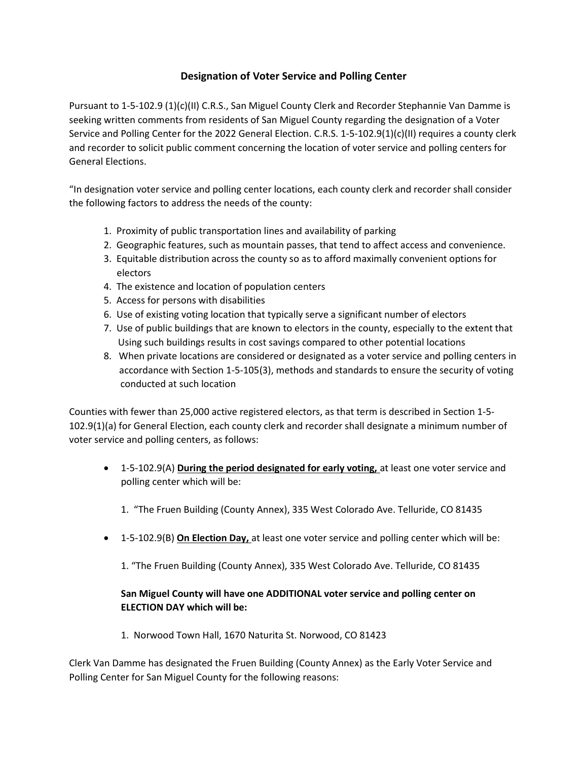## Designation of Voter Service and Polling Center

Pursuant to 1-5-102.9 (1)(c)(II) C.R.S., San Miguel County Clerk and Recorder Stephannie Van Damme is seeking written comments from residents of San Miguel County regarding the designation of a Voter Service and Polling Center for the 2022 General Election. C.R.S. 1-5-102.9(1)(c)(II) requires a county clerk and recorder to solicit public comment concerning the location of voter service and polling centers for General Elections.

"In designation voter service and polling center locations, each county clerk and recorder shall consider the following factors to address the needs of the county:

- 1. Proximity of public transportation lines and availability of parking
- 2. Geographic features, such as mountain passes, that tend to affect access and convenience.
- 3. Equitable distribution across the county so as to afford maximally convenient options for electors
- 4. The existence and location of population centers
- 5. Access for persons with disabilities
- 6. Use of existing voting location that typically serve a significant number of electors
- 7. Use of public buildings that are known to electors in the county, especially to the extent that Using such buildings results in cost savings compared to other potential locations
- 8. When private locations are considered or designated as a voter service and polling centers in accordance with Section 1-5-105(3), methods and standards to ensure the security of voting conducted at such location

Counties with fewer than 25,000 active registered electors, as that term is described in Section 1-5- 102.9(1)(a) for General Election, each county clerk and recorder shall designate a minimum number of voter service and polling centers, as follows:

- 1-5-102.9(A) During the period designated for early voting, at least one voter service and polling center which will be:
	- 1. "The Fruen Building (County Annex), 335 West Colorado Ave. Telluride, CO 81435
- 1-5-102.9(B) On Election Day, at least one voter service and polling center which will be:
	- 1. "The Fruen Building (County Annex), 335 West Colorado Ave. Telluride, CO 81435

## San Miguel County will have one ADDITIONAL voter service and polling center on ELECTION DAY which will be:

1. Norwood Town Hall, 1670 Naturita St. Norwood, CO 81423

Clerk Van Damme has designated the Fruen Building (County Annex) as the Early Voter Service and Polling Center for San Miguel County for the following reasons: